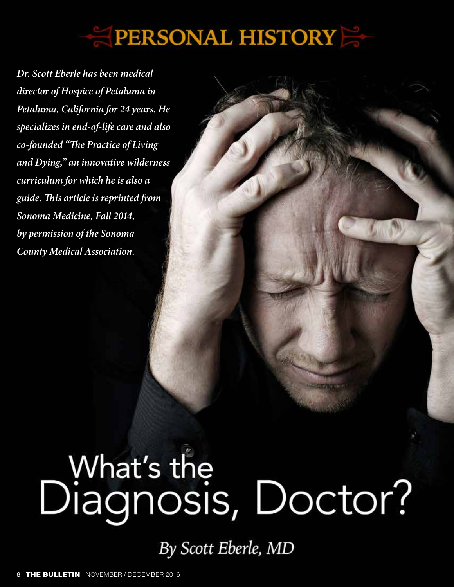## **PERSONAL HISTORY**

*Dr. Scott Eberle has been medical director of Hospice of Petaluma in Petaluma, California for 24 years. He specializes in end-of-life care and also co-founded "The Practice of Living and Dying," an innovative wilderness curriculum for which he is also a guide. This article is reprinted from Sonoma Medicine, Fall 2014, by permission of the Sonoma County Medical Association.*

# What's the<br>Diagnosis, Doctor?

By Scott Eberle, MD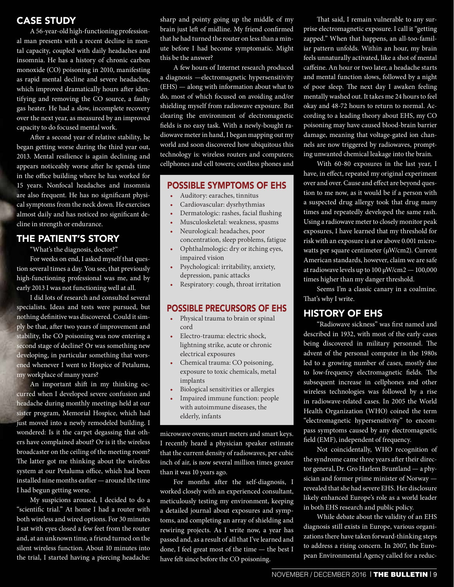#### CASE STUDY

A 56-year-old high-functioning professional man presents with a recent decline in mental capacity, coupled with daily headaches and insomnia. He has a history of chronic carbon monoxide (CO) poisoning in 2010, manifesting as rapid mental decline and severe headaches, which improved dramatically hours after identifying and removing the CO source, a faulty gas heater. He had a slow, incomplete recovery over the next year, as measured by an improved capacity to do focused mental work.

After a second year of relative stability, he began getting worse during the third year out, 2013. Mental resilience is again declining and appears noticeably worse after he spends time in the office building where he has worked for 15 years. Nonfocal headaches and insomnia are also frequent. He has no significant physical symptoms from the neck down. He exercises almost daily and has noticed no significant decline in strength or endurance.

#### THE PATIENT'S STORY

"What's the diagnosis, doctor?"

For weeks on end, I asked myself that question several times a day. You see, that previously high-functioning professional was me, and by early 2013 I was not functioning well at all.

I did lots of research and consulted several specialists. Ideas and tests were pursued, but nothing definitive was discovered. Could it simply be that, after two years of improvement and stability, the CO poisoning was now entering a second stage of decline? Or was something new developing, in particular something that worsened whenever I went to Hospice of Petaluma, my workplace of many years?

An important shift in my thinking occurred when I developed severe confusion and headache during monthly meetings held at our sister program, Memorial Hospice, which had just moved into a newly remodeled building. I wondered: Is it the carpet degassing that others have complained about? Or is it the wireless broadcaster on the ceiling of the meeting room? The latter got me thinking about the wireless system at our Petaluma office, which had been installed nine months earlier — around the time I had begun getting worse.

My suspicions aroused, I decided to do a "scientific trial." At home I had a router with both wireless and wired options. For 30 minutes I sat with eyes closed a few feet from the router and, at an unknown time, a friend turned on the silent wireless function. About 10 minutes into the trial, I started having a piercing headache: sharp and pointy going up the middle of my brain just left of midline. My friend confirmed that he had turned the router on less than a minute before I had become symptomatic. Might this be the answer?

A few hours of Internet research produced a diagnosis —electromagnetic hypersensitivity (EHS) — along with information about what to do, most of which focused on avoiding and/or shielding myself from radiowave exposure. But clearing the environment of electromagnetic fields is no easy task. With a newly-bought radiowave meter in hand, I began mapping out my world and soon discovered how ubiquitous this technology is: wireless routers and computers; cellphones and cell towers; cordless phones and

#### POSSIBLE SYMPTOMS OF EHS

- Auditory: earaches, tinnitus
- Cardiovascular: dysrhythmias
- Dermatologic: rashes, facial flushing
- Musculoskeletal: weakness, spasms
- Neurological: headaches, poor concentration, sleep problems, fatigue
- Ophthalmologic: dry or itching eyes, impaired vision
- Psychological: irritability, anxiety, depression, panic attacks
- Respiratory: cough, throat irritation

#### POSSIBLE PRECURSORS OF EHS

- Physical trauma to brain or spinal cord
- Electro-trauma: electric shock, lightning strike, acute or chronic electrical exposures
- Chemical trauma: CO poisoning, exposure to toxic chemicals, metal implants
- Biological sensitivities or allergies
- Impaired immune function: people with autoimmune diseases, the elderly, infants

microwave ovens; smart meters and smart keys. I recently heard a physician speaker estimate that the current density of radiowaves, per cubic inch of air, is now several million times greater than it was 10 years ago.

For months after the self-diagnosis, I worked closely with an experienced consultant, meticulously testing my environment, keeping a detailed journal about exposures and symptoms, and completing an array of shielding and rewiring projects. As I write now, a year has passed and, as a result of all that I've learned and done, I feel great most of the time — the best I have felt since before the CO poisoning.

That said, I remain vulnerable to any surprise electromagnetic exposure. I call it "getting zapped." When that happens, an all-too-familiar pattern unfolds. Within an hour, my brain feels unnaturally activated, like a shot of mental caffeine. An hour or two later, a headache starts and mental function slows, followed by a night of poor sleep. The next day I awaken feeling mentally washed out. It takes me 24 hours to feel okay and 48-72 hours to return to normal. According to a leading theory about EHS, my CO poisoning may have caused blood-brain barrier damage, meaning that voltage-gated ion channels are now triggered by radiowaves, prompting unwanted chemical leakage into the brain.

With 60-80 exposures in the last year, I have, in effect, repeated my original experiment over and over. Cause and effect are beyond question to me now, as it would be if a person with a suspected drug allergy took that drug many times and repeatedly developed the same rash. Using a radiowave meter to closely monitor peak exposures, I have learned that my threshold for risk with an exposure is at or above 0.001 microwatts per square centimeter (μW/cm2). Current American standards, however, claim we are safe at radiowave levels up to 100 μW/cm2 — 100,000 times higher than my danger threshold.

Seems I'm a classic canary in a coalmine. That's why I write.

#### HISTORY OF EHS

"Radiowave sickness" was first named and described in 1932, with most of the early cases being discovered in military personnel. The advent of the personal computer in the 1980s led to a growing number of cases, mostly due to low-frequency electromagnetic fields. The subsequent increase in cellphones and other wireless technologies was followed by a rise in radiowave-related cases. In 2005 the World Health Organization (WHO) coined the term "electromagnetic hypersensitivity" to encompass symptoms caused by any electromagnetic field (EMF), independent of frequency.

Not coincidentally, WHO recognition of the syndrome came three years after their director general, Dr. Gro Harlem Bruntland — a physician and former prime minister of Norway revealed that she had severe EHS. Her disclosure likely enhanced Europe's role as a world leader in both EHS research and public policy.

While debate about the validity of an EHS diagnosis still exists in Europe, various organizations there have taken forward-thinking steps to address a rising concern. In 2007, the European Environmental Agency called for a reduc-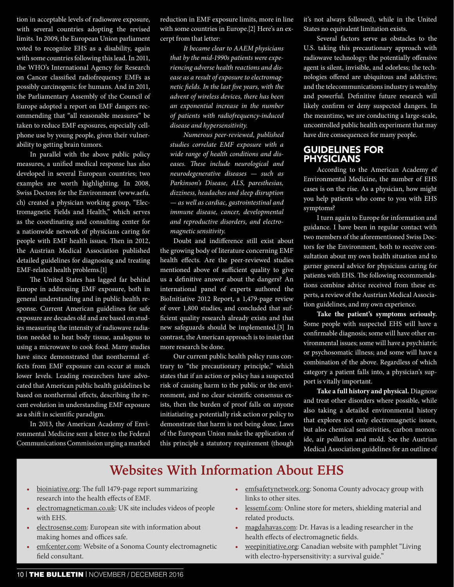tion in acceptable levels of radiowave exposure, with several countries adopting the revised limits. In 2009, the European Union parliament voted to recognize EHS as a disability, again with some countries following this lead. In 2011, the WHO's International Agency for Research on Cancer classified radiofrequency EMFs as possibly carcinogenic for humans. And in 2011, the Parliamentary Assembly of the Council of Europe adopted a report on EMF dangers recommending that "all reasonable measures" be taken to reduce EMF exposures, especially cellphone use by young people, given their vulnerability to getting brain tumors.

In parallel with the above public policy measures, a unified medical response has also developed in several European countries; two examples are worth highlighting. In 2008, Swiss Doctors for the Environment (www.aefu. ch) created a physician working group, "Electromagnetic Fields and Health," which serves as the coordinating and consulting center for a nationwide network of physicians caring for people with EMF health issues. Then in 2012, the Austrian Medical Association published detailed guidelines for diagnosing and treating EMF-related health problems.[1]

The United States has lagged far behind Europe in addressing EMF exposure, both in general understanding and in public health response. Current American guidelines for safe exposure are decades old and are based on studies measuring the intensity of radiowave radiation needed to heat body tissue, analogous to using a microwave to cook food. Many studies have since demonstrated that nonthermal effects from EMF exposure can occur at much lower levels. Leading researchers have advocated that American public health guidelines be based on nonthermal effects, describing the recent evolution in understanding EMF exposure as a shift in scientific paradigm.

In 2013, the American Academy of Environmental Medicine sent a letter to the Federal Communications Commission urging a marked

reduction in EMF exposure limits, more in line with some countries in Europe.[2] Here's an excerpt from that letter:

*It became clear to AAEM physicians that by the mid-1990s patients were experiencing adverse health reactions and disease as a result of exposure to electromagnetic fields. In the last five years, with the advent of wireless devices, there has been an exponential increase in the number of patients with radiofrequency-induced disease and hypersensitivity.*

*Numerous peer-reviewed, published studies correlate EMF exposure with a wide range of health conditions and diseases. These include neurological and neurodegenerative diseases — such as Parkinson's Disease, ALS, paresthesias, dizziness, headaches and sleep disruption — as well as cardiac, gastrointestinal and immune disease, cancer, developmental and reproductive disorders, and electromagnetic sensitivity.*

Doubt and indifference still exist about the growing body of literature concerning EMF health effects. Are the peer-reviewed studies mentioned above of sufficient quality to give us a definitive answer about the dangers? An international panel of experts authored the BioInitiative 2012 Report, a 1,479-page review of over 1,800 studies, and concluded that sufficient quality research already exists and that new safeguards should be implemented.[3] In contrast, the American approach is to insist that more research be done.

Our current public health policy runs contrary to "the precautionary principle," which states that if an action or policy has a suspected risk of causing harm to the public or the environment, and no clear scientific consensus exists, then the burden of proof falls on anyone initiatiating a potentially risk action or policy to demonstrate that harm is not being done. Laws of the European Union make the application of this principle a statutory requirement (though

it's not always followed), while in the United States no equivalent limitation exists.

Several factors serve as obstacles to the U.S. taking this precautionary approach with radiowave technology: the potentially offensive agent is silent, invisible, and odorless; the technologies offered are ubiquitous and addictive; and the telecommunications industry is wealthy and powerful. Definitive future research will likely confirm or deny suspected dangers. In the meantime, we are conducting a large-scale, uncontrolled public health experiment that may have dire consequences for many people.

#### GUIDELINES FOR PHYSICIANS

According to the American Academy of Environmental Medicine, the number of EHS cases is on the rise. As a physician, how might you help patients who come to you with EHS symptoms?

I turn again to Europe for information and guidance. I have been in regular contact with two members of the aforementioned Swiss Doctors for the Environment, both to receive consultation about my own health situation and to garner general advice for physicians caring for patients with EHS. The following recommendations combine advice received from these experts, a review of the Austrian Medical Association guidelines, and my own experience.

**Take the patient's symptoms seriously.**  Some people with suspected EHS will have a confirmable diagnosis; some will have other environmental issues; some will have a psychiatric or psychosomatic illness; and some will have a combination of the above. Regardless of which category a patient falls into, a physician's support is vitally important.

**Take a full history and physical.** Diagnose and treat other disorders where possible, while also taking a detailed environmental history that explores not only electromagnetic issues, but also chemical sensitivities, carbon monoxide, air pollution and mold. See the Austrian Medical Association guidelines for an outline of

### **Websites With Information About EHS**

- bioiniative.org: The full 1479-page report summarizing research into the health effects of EMF.
- electromagneticman.co.uk: UK site includes videos of people with EHS.
- electrosense.com: European site with information about making homes and offices safe.
- emfcenter.com: Website of a Sonoma County electromagnetic field consultant.
- emfsafetynetwork.org: Sonoma County advocacy group with links to other sites.
- lessemf.com: Online store for meters, shielding material and related products.
- magdahavas.com: Dr. Havas is a leading researcher in the health effects of electromagnetic fields.
- weepinitiative.org: Canadian website with pamphlet "Living with electro-hypersensitivity: a survival guide."